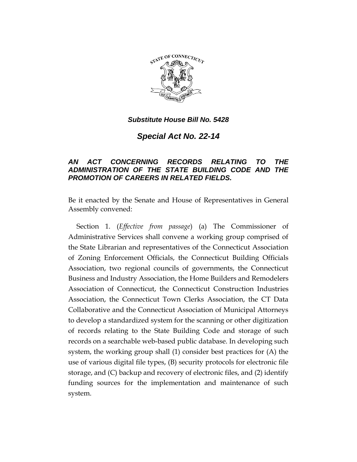

## *Substitute House Bill No. 5428*

*Special Act No. 22-14*

## *AN ACT CONCERNING RECORDS RELATING TO THE ADMINISTRATION OF THE STATE BUILDING CODE AND THE PROMOTION OF CAREERS IN RELATED FIELDS.*

Be it enacted by the Senate and House of Representatives in General Assembly convened:

Section 1. (*Effective from passage*) (a) The Commissioner of Administrative Services shall convene a working group comprised of the State Librarian and representatives of the Connecticut Association of Zoning Enforcement Officials, the Connecticut Building Officials Association, two regional councils of governments, the Connecticut Business and Industry Association, the Home Builders and Remodelers Association of Connecticut, the Connecticut Construction Industries Association, the Connecticut Town Clerks Association, the CT Data Collaborative and the Connecticut Association of Municipal Attorneys to develop a standardized system for the scanning or other digitization of records relating to the State Building Code and storage of such records on a searchable web-based public database. In developing such system, the working group shall (1) consider best practices for (A) the use of various digital file types, (B) security protocols for electronic file storage, and (C) backup and recovery of electronic files, and (2) identify funding sources for the implementation and maintenance of such system.